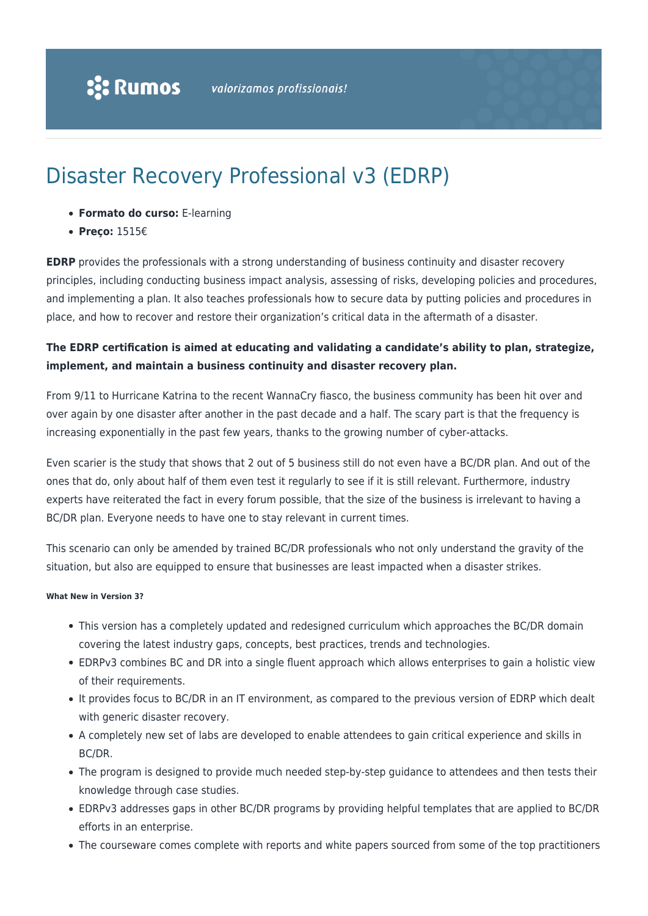# Disaster Recovery Professional v3 (EDRP)

- **Formato do curso:** E-learning
- **Preço:** 1515€

**EDRP** provides the professionals with a strong understanding of business continuity and disaster recovery principles, including conducting business impact analysis, assessing of risks, developing policies and procedures, and implementing a plan. It also teaches professionals how to secure data by putting policies and procedures in place, and how to recover and restore their organization's critical data in the aftermath of a disaster.

### **The EDRP certification is aimed at educating and validating a candidate's ability to plan, strategize, implement, and maintain a business continuity and disaster recovery plan.**

From 9/11 to Hurricane Katrina to the recent WannaCry fiasco, the business community has been hit over and over again by one disaster after another in the past decade and a half. The scary part is that the frequency is increasing exponentially in the past few years, thanks to the growing number of cyber-attacks.

Even scarier is the study that shows that 2 out of 5 business still do not even have a BC/DR plan. And out of the ones that do, only about half of them even test it regularly to see if it is still relevant. Furthermore, industry experts have reiterated the fact in every forum possible, that the size of the business is irrelevant to having a BC/DR plan. Everyone needs to have one to stay relevant in current times.

This scenario can only be amended by trained BC/DR professionals who not only understand the gravity of the situation, but also are equipped to ensure that businesses are least impacted when a disaster strikes.

### **What New in Version 3?**

- This version has a completely updated and redesigned curriculum which approaches the BC/DR domain covering the latest industry gaps, concepts, best practices, trends and technologies.
- EDRPv3 combines BC and DR into a single fluent approach which allows enterprises to gain a holistic view of their requirements.
- It provides focus to BC/DR in an IT environment, as compared to the previous version of EDRP which dealt with generic disaster recovery.
- A completely new set of labs are developed to enable attendees to gain critical experience and skills in BC/DR.
- The program is designed to provide much needed step-by-step guidance to attendees and then tests their knowledge through case studies.
- EDRPv3 addresses gaps in other BC/DR programs by providing helpful templates that are applied to BC/DR efforts in an enterprise.
- The courseware comes complete with reports and white papers sourced from some of the top practitioners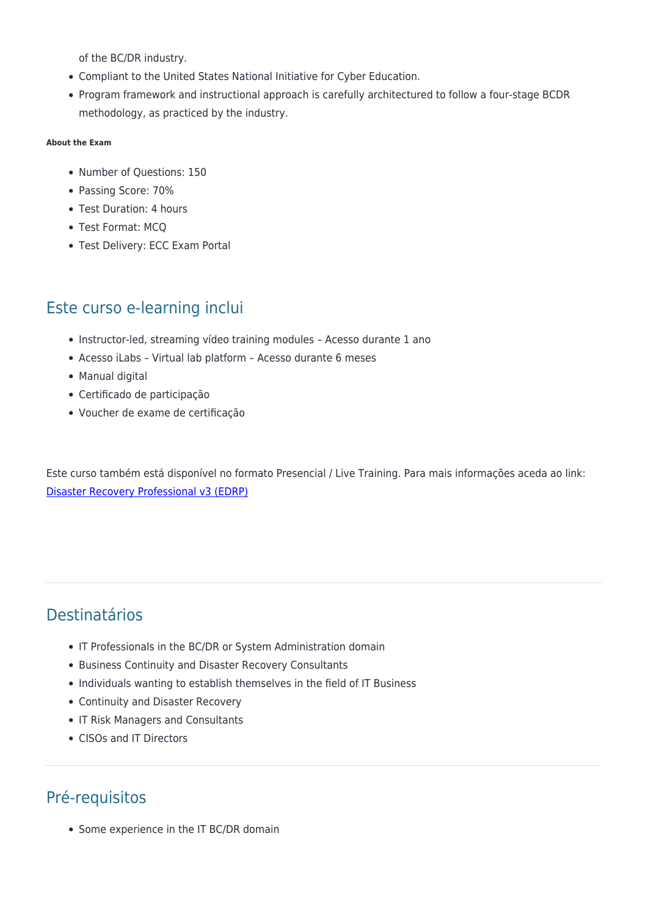of the BC/DR industry.

- Compliant to the United States National Initiative for Cyber Education.
- Program framework and instructional approach is carefully architectured to follow a four-stage BCDR methodology, as practiced by the industry.

#### **About the Exam**

- Number of Questions: 150
- Passing Score: 70%
- Test Duration: 4 hours
- Test Format: MCQ
- Test Delivery: ECC Exam Portal

### Este curso e-learning inclui

- Instructor-led, streaming vídeo training modules Acesso durante 1 ano
- Acesso iLabs Virtual lab platform Acesso durante 6 meses
- Manual digital
- Certificado de participação
- Voucher de exame de certificação

Este curso também está disponível no formato Presencial / Live Training. Para mais informações aceda ao link: [Disaster Recovery Professional v3 \(EDRP\)](https://rumos.pt/curso/disaster-recovery-professional-v3-edrp-presencial/)

## Destinatários

- IT Professionals in the BC/DR or System Administration domain
- Business Continuity and Disaster Recovery Consultants
- Individuals wanting to establish themselves in the field of IT Business
- Continuity and Disaster Recovery
- IT Risk Managers and Consultants
- CISOs and IT Directors

# Pré-requisitos

• Some experience in the IT BC/DR domain